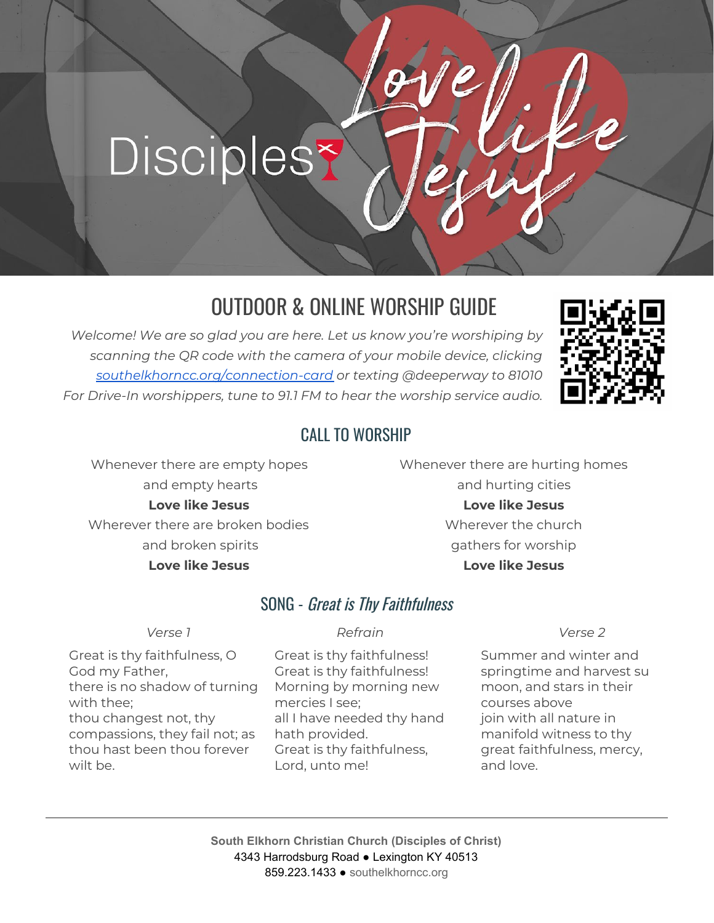# Discipless

# OUTDOOR & ONLINE WORSHIP GUIDE

*Welcome! We are so glad you are here. Let us know you're worshiping by scanning the QR code with the camera of your mobile device, clicking [southelkhorncc.org/connection-card](https://www.southelkhorncc.org/connection-card) or texting @deeperway to 81010 For Drive-In worshippers, tune to 91.1 FM to hear the worship service audio.*



#### CALL TO WORSHIP

Whenever there are empty hopes and empty hearts **Love like Jesus** Wherever there are broken bodies and broken spirits **Love like Jesus**

Whenever there are hurting homes and hurting cities **Love like Jesus** Wherever the church gathers for worship **Love like Jesus**

#### SONG - Great is Thy Faithfulness

*Verse 1 Refrain Verse 2*

Great is thy faithfulness, O God my Father, there is no shadow of turning with thee; thou changest not, thy compassions, they fail not; as thou hast been thou forever wilt be.

Great is thy faithfulness! Great is thy faithfulness! Morning by morning new mercies I see; all I have needed thy hand hath provided. Great is thy faithfulness, Lord, unto me!

Summer and winter and springtime and harvest su moon, and stars in their courses above join with all nature in manifold witness to thy great faithfulness, mercy, and love.